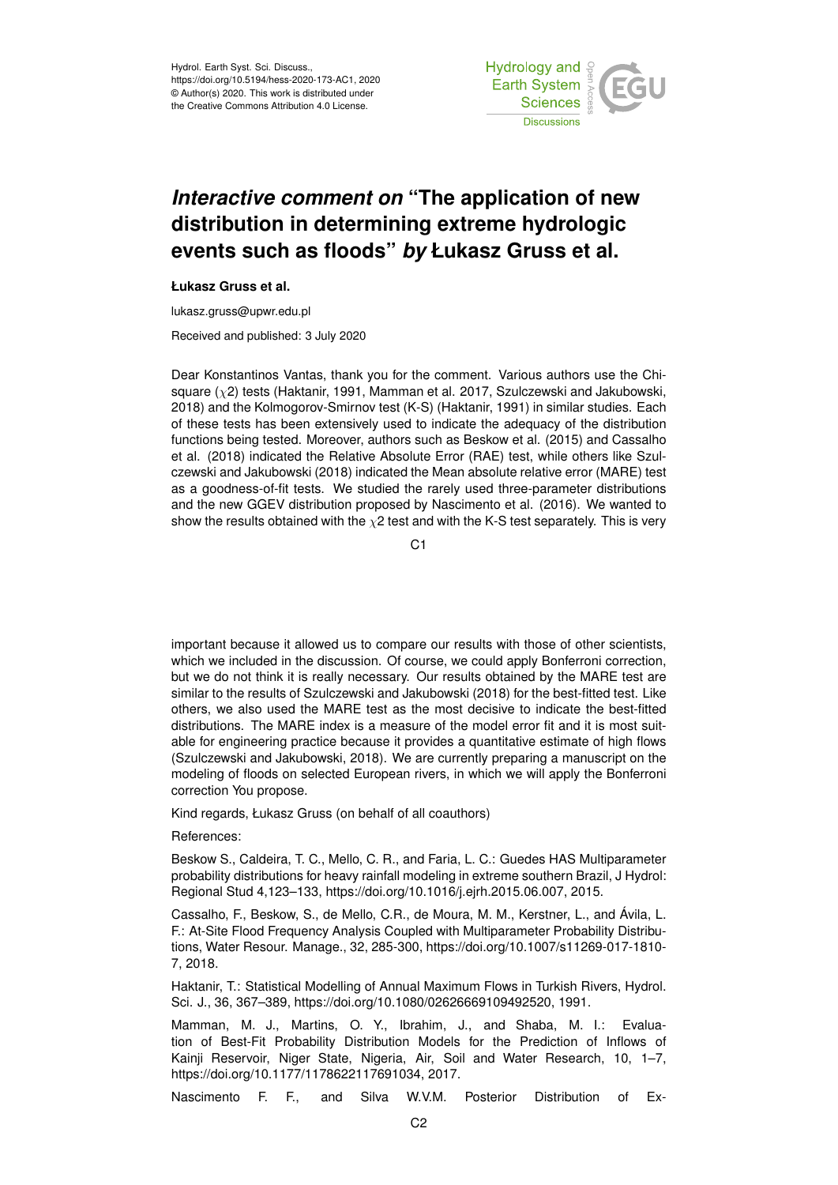Hydrol. Earth Syst. Sci. Discuss., https://doi.org/10.5194/hess-2020-173-AC1, 2020 © Author(s) 2020. This work is distributed under the Creative Commons Attribution 4.0 License.



## *Interactive comment on* **"The application of new distribution in determining extreme hydrologic events such as floods"** *by* **Łukasz Gruss et al.**

## **Łukasz Gruss et al.**

lukasz.gruss@upwr.edu.pl

Received and published: 3 July 2020

Dear Konstantinos Vantas, thank you for the comment. Various authors use the Chisquare  $(\chi^2)$  tests (Haktanir, 1991, Mamman et al. 2017, Szulczewski and Jakubowski, 2018) and the Kolmogorov-Smirnov test (K-S) (Haktanir, 1991) in similar studies. Each of these tests has been extensively used to indicate the adequacy of the distribution functions being tested. Moreover, authors such as Beskow et al. (2015) and Cassalho et al. (2018) indicated the Relative Absolute Error (RAE) test, while others like Szulczewski and Jakubowski (2018) indicated the Mean absolute relative error (MARE) test as a goodness-of-fit tests. We studied the rarely used three-parameter distributions and the new GGEV distribution proposed by Nascimento et al. (2016). We wanted to show the results obtained with the  $\chi$ 2 test and with the K-S test separately. This is very

C<sub>1</sub>

important because it allowed us to compare our results with those of other scientists, which we included in the discussion. Of course, we could apply Bonferroni correction, but we do not think it is really necessary. Our results obtained by the MARE test are similar to the results of Szulczewski and Jakubowski (2018) for the best-fitted test. Like others, we also used the MARE test as the most decisive to indicate the best-fitted distributions. The MARE index is a measure of the model error fit and it is most suitable for engineering practice because it provides a quantitative estimate of high flows (Szulczewski and Jakubowski, 2018). We are currently preparing a manuscript on the modeling of floods on selected European rivers, in which we will apply the Bonferroni correction You propose.

Kind regards, Łukasz Gruss (on behalf of all coauthors)

References:

Beskow S., Caldeira, T. C., Mello, C. R., and Faria, L. C.: Guedes HAS Multiparameter probability distributions for heavy rainfall modeling in extreme southern Brazil, J Hydrol: Regional Stud 4,123–133, https://doi.org/10.1016/j.ejrh.2015.06.007, 2015.

Cassalho, F., Beskow, S., de Mello, C.R., de Moura, M. M., Kerstner, L., and Ávila, L. F.: At-Site Flood Frequency Analysis Coupled with Multiparameter Probability Distributions, Water Resour. Manage., 32, 285-300, https://doi.org/10.1007/s11269-017-1810- 7, 2018.

Haktanir, T.: Statistical Modelling of Annual Maximum Flows in Turkish Rivers, Hydrol. Sci. J., 36, 367–389, https://doi.org/10.1080/02626669109492520, 1991.

Mamman, M. J., Martins, O. Y., Ibrahim, J., and Shaba, M. I.: Evaluation of Best-Fit Probability Distribution Models for the Prediction of Inflows of Kainji Reservoir, Niger State, Nigeria, Air, Soil and Water Research, 10, 1–7, https://doi.org/10.1177/1178622117691034, 2017.

Nascimento F. F., and Silva W.V.M. Posterior Distribution of Ex-